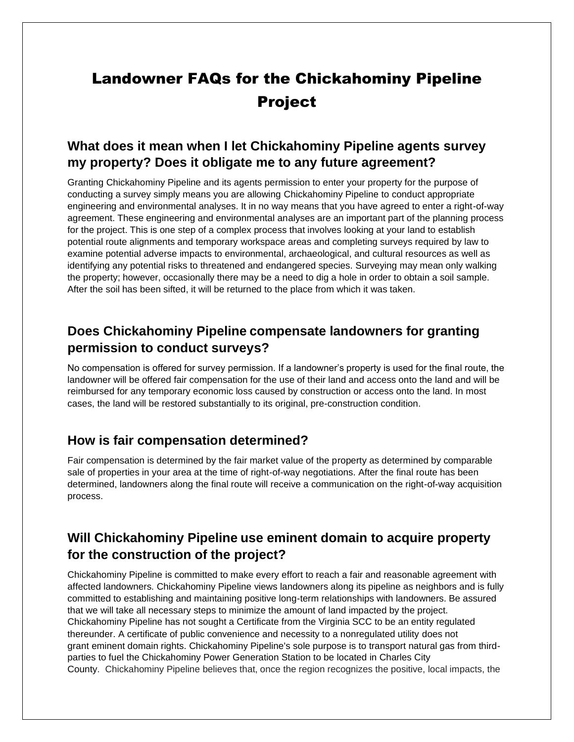# Landowner FAQs for the Chickahominy Pipeline Project

## **What does it mean when I let Chickahominy Pipeline agents survey my property? Does it obligate me to any future agreement?**

Granting Chickahominy Pipeline and its agents permission to enter your property for the purpose of conducting a survey simply means you are allowing Chickahominy Pipeline to conduct appropriate engineering and environmental analyses. It in no way means that you have agreed to enter a right-of-way agreement. These engineering and environmental analyses are an important part of the planning process for the project. This is one step of a complex process that involves looking at your land to establish potential route alignments and temporary workspace areas and completing surveys required by law to examine potential adverse impacts to environmental, archaeological, and cultural resources as well as identifying any potential risks to threatened and endangered species. Surveying may mean only walking the property; however, occasionally there may be a need to dig a hole in order to obtain a soil sample. After the soil has been sifted, it will be returned to the place from which it was taken.

## **Does Chickahominy Pipeline compensate landowners for granting permission to conduct surveys?**

No compensation is offered for survey permission. If a landowner's property is used for the final route, the landowner will be offered fair compensation for the use of their land and access onto the land and will be reimbursed for any temporary economic loss caused by construction or access onto the land. In most cases, the land will be restored substantially to its original, pre-construction condition.

## **How is fair compensation determined?**

Fair compensation is determined by the fair market value of the property as determined by comparable sale of properties in your area at the time of right-of-way negotiations. After the final route has been determined, landowners along the final route will receive a communication on the right-of-way acquisition process.

## **Will Chickahominy Pipeline use eminent domain to acquire property for the construction of the project?**

Chickahominy Pipeline is committed to make every effort to reach a fair and reasonable agreement with affected landowners. Chickahominy Pipeline views landowners along its pipeline as neighbors and is fully committed to establishing and maintaining positive long-term relationships with landowners. Be assured that we will take all necessary steps to minimize the amount of land impacted by the project. Chickahominy Pipeline has not sought a Certificate from the Virginia SCC to be an entity regulated thereunder. A certificate of public convenience and necessity to a nonregulated utility does not grant eminent domain rights. Chickahominy Pipeline's sole purpose is to transport natural gas from thirdparties to fuel the Chickahominy Power Generation Station to be located in Charles City County. Chickahominy Pipeline believes that, once the region recognizes the positive, local impacts, the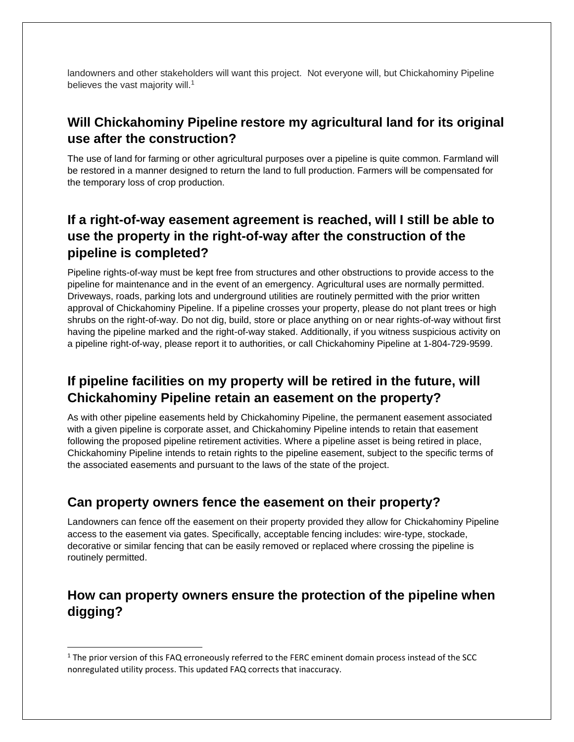landowners and other stakeholders will want this project. Not everyone will, but Chickahominy Pipeline believes the vast majority will.<sup>1</sup>

## **Will Chickahominy Pipeline restore my agricultural land for its original use after the construction?**

The use of land for farming or other agricultural purposes over a pipeline is quite common. Farmland will be restored in a manner designed to return the land to full production. Farmers will be compensated for the temporary loss of crop production.

## **If a right-of-way easement agreement is reached, will I still be able to use the property in the right-of-way after the construction of the pipeline is completed?**

Pipeline rights-of-way must be kept free from structures and other obstructions to provide access to the pipeline for maintenance and in the event of an emergency. Agricultural uses are normally permitted. Driveways, roads, parking lots and underground utilities are routinely permitted with the prior written approval of Chickahominy Pipeline. If a pipeline crosses your property, please do not plant trees or high shrubs on the right-of-way. Do not dig, build, store or place anything on or near rights-of-way without first having the pipeline marked and the right-of-way staked. Additionally, if you witness suspicious activity on a pipeline right-of-way, please report it to authorities, or call Chickahominy Pipeline at 1-804-729-9599.

## **If pipeline facilities on my property will be retired in the future, will Chickahominy Pipeline retain an easement on the property?**

As with other pipeline easements held by Chickahominy Pipeline, the permanent easement associated with a given pipeline is corporate asset, and Chickahominy Pipeline intends to retain that easement following the proposed pipeline retirement activities. Where a pipeline asset is being retired in place, Chickahominy Pipeline intends to retain rights to the pipeline easement, subject to the specific terms of the associated easements and pursuant to the laws of the state of the project.

## **Can property owners fence the easement on their property?**

Landowners can fence off the easement on their property provided they allow for Chickahominy Pipeline access to the easement via gates. Specifically, acceptable fencing includes: wire-type, stockade, decorative or similar fencing that can be easily removed or replaced where crossing the pipeline is routinely permitted.

## **How can property owners ensure the protection of the pipeline when digging?**

<sup>&</sup>lt;sup>1</sup> The prior version of this FAQ erroneously referred to the FERC eminent domain process instead of the SCC nonregulated utility process. This updated FAQ corrects that inaccuracy.